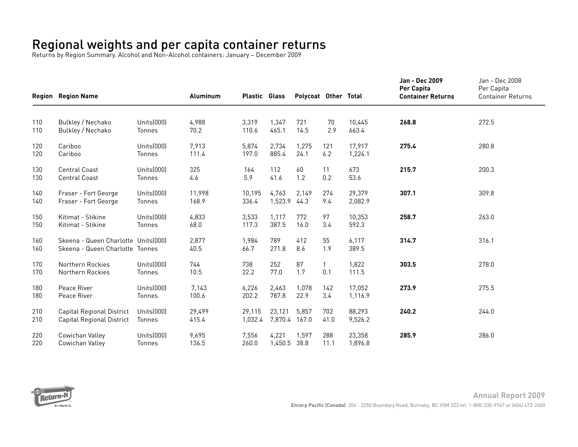## Regional weights and per capita container returns

Returns by Region Summary. Alcohol and Non-Alcohol containers: January – December 2009

|            | <b>Region Region Name</b>                                               |                         | Aluminum        | <b>Plastic Glass</b> |                   | Polycoat Other Total |                     |                   | Jan - Dec 2009<br>Per Capita<br><b>Container Returns</b> | Jan - Dec 2008<br>Per Capita<br><b>Container Returns</b> |
|------------|-------------------------------------------------------------------------|-------------------------|-----------------|----------------------|-------------------|----------------------|---------------------|-------------------|----------------------------------------------------------|----------------------------------------------------------|
|            |                                                                         |                         |                 |                      |                   |                      |                     |                   |                                                          |                                                          |
| 110<br>110 | Bulkley / Nechako<br>Bulkley / Nechako                                  | Units(000)<br>Tonnes    | 4,988<br>70.2   | 3,319<br>110.6       | 1,347<br>465.1    | 721<br>14.5          | 70<br>2.9           | 10,445<br>663.4   | 268.8                                                    | 272.5                                                    |
| 120<br>120 | Cariboo<br>Cariboo                                                      | Units(000)<br>Tonnes    | 7,913<br>111.4  | 5,874<br>197.0       | 2,734<br>885.4    | 1,275<br>24.1        | 121<br>6.2          | 17,917<br>1,224.1 | 275.4                                                    | 280.8                                                    |
| 130<br>130 | <b>Central Coast</b><br><b>Central Coast</b>                            | Units $(000)$<br>Tonnes | 325<br>4.6      | 164<br>5.9           | 112<br>41.6       | 60<br>1.2            | 11<br>0.2           | 673<br>53.6       | 215.7                                                    | 200.3                                                    |
| 140<br>140 | Fraser - Fort George<br>Fraser - Fort George                            | Units(000)<br>Tonnes    | 11,998<br>168.9 | 10,195<br>336.4      | 4,763<br>1,523.9  | 2,149<br>44.3        | 274<br>9.4          | 29,379<br>2,082.9 | 307.1                                                    | 309.8                                                    |
| 150<br>150 | Kitimat - Stikine<br>Kitimat - Stikine                                  | Units $(000)$<br>Tonnes | 4,833<br>68.0   | 3,533<br>117.3       | 1,117<br>387.5    | 772<br>16.0          | 97<br>3.4           | 10,353<br>592.3   | 258.7                                                    | 263.0                                                    |
| 160<br>160 | Skeena - Queen Charlotte Units [000]<br>Skeena - Queen Charlotte Tonnes |                         | 2,877<br>40.5   | 1,984<br>66.7        | 789<br>271.8      | 412<br>8.6           | 55<br>1.9           | 6,117<br>389.5    | 314.7                                                    | 316.1                                                    |
| 170<br>170 | Northern Rockies<br>Northern Rockies                                    | Units $(000)$<br>Tonnes | 744<br>10.5     | 738<br>22.2          | 252<br>77.0       | 87<br>1.7            | $\mathbf{1}$<br>0.1 | 1,822<br>111.5    | 303.5                                                    | 278.0                                                    |
| 180<br>180 | Peace River<br>Peace River                                              | Units $(000)$<br>Tonnes | 7,143<br>100.6  | 6,226<br>202.2       | 2,463<br>787.8    | 1,078<br>22.9        | 142<br>3.4          | 17,052<br>1,116.9 | 273.9                                                    | 275.5                                                    |
| 210<br>210 | <b>Capital Regional District</b><br><b>Capital Regional District</b>    | Units(000)<br>Tonnes    | 29,499<br>415.4 | 29,115<br>1,032.4    | 23,121<br>7,870.4 | 5,857<br>167.0       | 702<br>41.0         | 88,293<br>9,526.2 | 240.2                                                    | 244.0                                                    |
| 220<br>220 | Cowichan Valley<br>Cowichan Valley                                      | Units $(000)$<br>Tonnes | 9,695<br>136.5  | 7,556<br>260.0       | 4,221<br>1,450.5  | 1,597<br>38.8        | 288<br>11.1         | 23,358<br>1,896.8 | 285.9                                                    | 286.0                                                    |

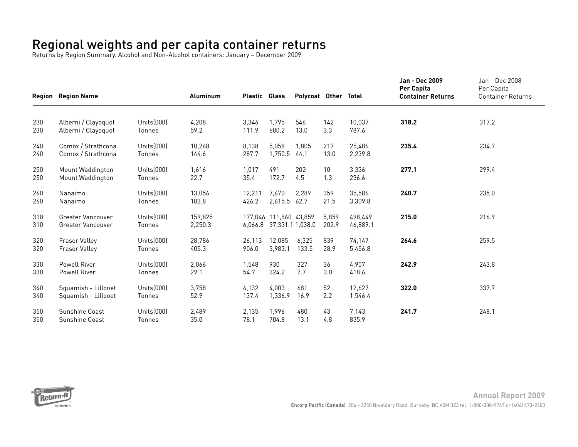## Regional weights and per capita container returns

Returns by Region Summary. Alcohol and Non-Alcohol containers: January – December 2009

|            | <b>Region Region Name</b>                            |                             | <b>Aluminum</b>    | <b>Plastic Glass</b> |                                                    | Polycoat Other Total |                |                     | <b>Jan - Dec 2009</b><br>Per Capita<br><b>Container Returns</b> | Jan - Dec 2008<br>Per Capita<br><b>Container Returns</b> |
|------------|------------------------------------------------------|-----------------------------|--------------------|----------------------|----------------------------------------------------|----------------------|----------------|---------------------|-----------------------------------------------------------------|----------------------------------------------------------|
|            |                                                      |                             |                    |                      |                                                    |                      |                |                     |                                                                 |                                                          |
| 230<br>230 | Alberni / Clayoquot<br>Alberni / Clayoquot           | Units(000)<br>Tonnes        | 4,208<br>59.2      | 3,346<br>111.9       | 1,795<br>600.2                                     | 546<br>13.0          | 142<br>3.3     | 10,037<br>787.6     | 318.2                                                           | 317.2                                                    |
| 240<br>240 | Comox / Strathcona<br>Comox / Strathcona             | Units(000)<br>Tonnes        | 10,268<br>144.6    | 8,138<br>287.7       | 5,058<br>1,750.5                                   | 1.805<br>44.1        | 217<br>13.0    | 25,486<br>2,239.8   | 235.4                                                           | 234.7                                                    |
| 250<br>250 | Mount Waddington<br>Mount Waddington                 | Units(000)<br><b>Tonnes</b> | 1,616<br>22.7      | 1,017<br>35.4        | 491<br>172.7                                       | 202<br>4.5           | 10<br>1.3      | 3,336<br>236.6      | 277.1                                                           | 299.4                                                    |
| 260<br>260 | Nanaimo<br>Nanaimo                                   | Units(000)<br>Tonnes        | 13,056<br>183.8    | 12,211<br>426.2      | 7,670<br>2,615.5                                   | 2,289<br>62.7        | 359<br>21.5    | 35,586<br>3,309.8   | 240.7                                                           | 235.0                                                    |
| 310<br>310 | <b>Greater Vancouver</b><br><b>Greater Vancouver</b> | Units(000)<br>Tonnes        | 159,825<br>2,250.3 |                      | 177.046 111.860 43.859<br>6,066.8 37,331.1 1,038.0 |                      | 5,859<br>202.9 | 498.449<br>46,889.1 | 215.0                                                           | 216.9                                                    |
| 320<br>320 | <b>Fraser Valley</b><br><b>Fraser Valley</b>         | Units(000)<br>Tonnes        | 28,786<br>405.3    | 26,113<br>906.0      | 12,085<br>3,983.1                                  | 6,325<br>133.5       | 839<br>28.9    | 74,147<br>5,456.8   | 264.6                                                           | 259.5                                                    |
| 330<br>330 | <b>Powell River</b><br><b>Powell River</b>           | Units(000)<br>Tonnes        | 2,066<br>29.1      | 1,548<br>54.7        | 930<br>324.2                                       | 327<br>7.7           | 36<br>3.0      | 4,907<br>418.6      | 242.9                                                           | 243.8                                                    |
| 340<br>340 | Squamish - Lillooet<br>Squamish - Lillooet           | Units(000)<br>Tonnes        | 3,758<br>52.9      | 4,132<br>137.4       | 4,003<br>1,336.9                                   | 681<br>16.9          | 52<br>2.2      | 12,627<br>1,546.4   | 322.0                                                           | 337.7                                                    |
| 350<br>350 | Sunshine Coast<br><b>Sunshine Coast</b>              | Units(000)<br>Tonnes        | 2,489<br>35.0      | 2,135<br>78.1        | 1,996<br>704.8                                     | 480<br>13.1          | 43<br>4.8      | 7,143<br>835.9      | 241.7                                                           | 248.1                                                    |